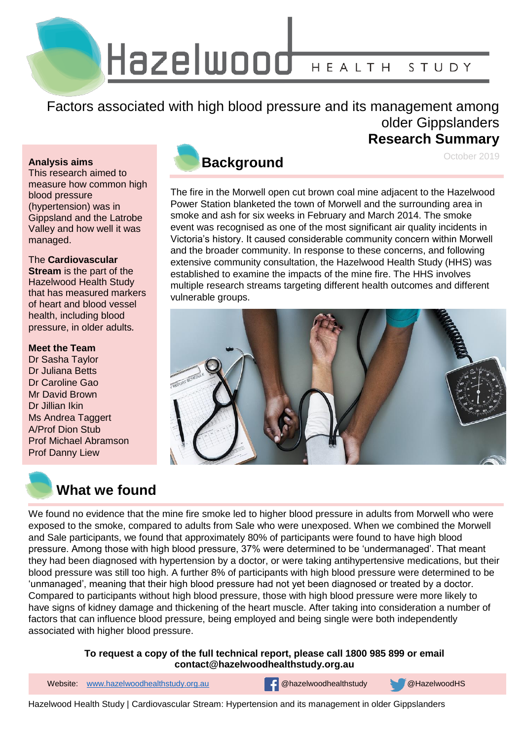Hazelwood HEALTH STUDY

Factors associated with high blood pressure and its management among older Gippslanders

#### **Analysis aims**

This research aimed to measure how common high blood pressure (hypertension) was in Gippsland and the Latrobe Valley and how well it was managed.

### The **Cardiovascular**

**Stream** is the part of the Hazelwood Health Study that has measured markers of heart and blood vessel health, including blood pressure, in older adults*.*

## **Meet the Team**

Dr Sasha Taylor Dr Juliana Betts Dr Caroline Gao Mr David Brown Dr Jillian Ikin Ms Andrea Taggert A/Prof Dion Stub Prof Michael Abramson Prof Danny Liew



# **What we found**



# **Research Summary**

October 2019

The fire in the Morwell open cut brown coal mine adjacent to the Hazelwood Power Station blanketed the town of Morwell and the surrounding area in smoke and ash for six weeks in February and March 2014. The smoke event was recognised as one of the most significant air quality incidents in Victoria's history. It caused considerable community concern within Morwell and the broader community. In response to these concerns, and following extensive community consultation, the Hazelwood Health Study (HHS) was established to examine the impacts of the mine fire. The HHS involves multiple research streams targeting different health outcomes and different vulnerable groups.



We found no evidence that the mine fire smoke led to higher blood pressure in adults from Morwell who were exposed to the smoke, compared to adults from Sale who were unexposed. When we combined the Morwell and Sale participants, we found that approximately 80% of participants were found to have high blood pressure. Among those with high blood pressure, 37% were determined to be 'undermanaged'. That meant they had been diagnosed with hypertension by a doctor, or were taking antihypertensive medications, but their blood pressure was still too high. A further 8% of participants with high blood pressure were determined to be 'unmanaged', meaning that their high blood pressure had not yet been diagnosed or treated by a doctor. Compared to participants without high blood pressure, those with high blood pressure were more likely to have signs of kidney damage and thickening of the heart muscle. After taking into consideration a number of factors that can influence blood pressure, being employed and being single were both independently associated with higher blood pressure.

## **To request a copy of the full technical report, please call 1800 985 899 or email contact@hazelwoodhealthstudy.org.au**

1 Website: [www.hazelwoodhealthstudy.org.au](http://www.hazelwoodhealthstudy.org.au/) @hazelwoodhealthstudy @HazelwoodHS

Hazelwood Health Study | Cardiovascular Stream: Hypertension and its management in older Gippslanders